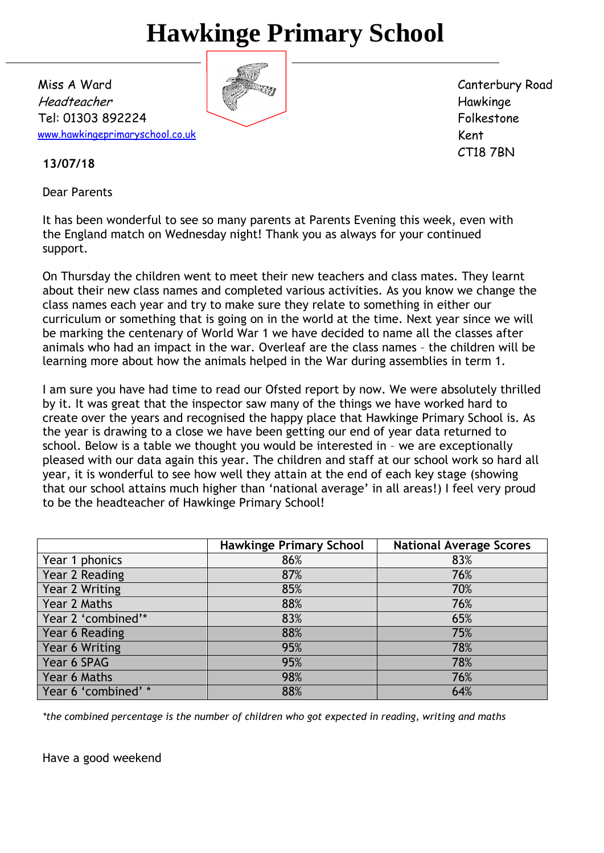# **Hawkinge Primary School**

Miss A Ward Headteacher Tel: 01303 892224 [www.hawkingeprimaryschool.co.uk](http://www.hawkingeprimaryschool.co.uk/)

Canterbury Road Hawkinge Folkestone Kent CT18 7BN

**13/07/18**

Dear Parents

It has been wonderful to see so many parents at Parents Evening this week, even with the England match on Wednesday night! Thank you as always for your continued support.

On Thursday the children went to meet their new teachers and class mates. They learnt about their new class names and completed various activities. As you know we change the class names each year and try to make sure they relate to something in either our curriculum or something that is going on in the world at the time. Next year since we will be marking the centenary of World War 1 we have decided to name all the classes after animals who had an impact in the war. Overleaf are the class names – the children will be learning more about how the animals helped in the War during assemblies in term 1.

I am sure you have had time to read our Ofsted report by now. We were absolutely thrilled by it. It was great that the inspector saw many of the things we have worked hard to create over the years and recognised the happy place that Hawkinge Primary School is. As the year is drawing to a close we have been getting our end of year data returned to school. Below is a table we thought you would be interested in – we are exceptionally pleased with our data again this year. The children and staff at our school work so hard all year, it is wonderful to see how well they attain at the end of each key stage (showing that our school attains much higher than 'national average' in all areas!) I feel very proud to be the headteacher of Hawkinge Primary School!

|                     | <b>Hawkinge Primary School</b> | <b>National Average Scores</b> |
|---------------------|--------------------------------|--------------------------------|
| Year 1 phonics      | 86%                            | 83%                            |
| Year 2 Reading      | 87%                            | 76%                            |
| Year 2 Writing      | 85%                            | 70%                            |
| Year 2 Maths        | 88%                            | 76%                            |
| Year 2 'combined'*  | 83%                            | 65%                            |
| Year 6 Reading      | 88%                            | 75%                            |
| Year 6 Writing      | 95%                            | 78%                            |
| Year 6 SPAG         | 95%                            | 78%                            |
| Year 6 Maths        | 98%                            | 76%                            |
| Year 6 'combined' * | 88%                            | 64%                            |

*\*the combined percentage is the number of children who got expected in reading, writing and maths* 

Have a good weekend